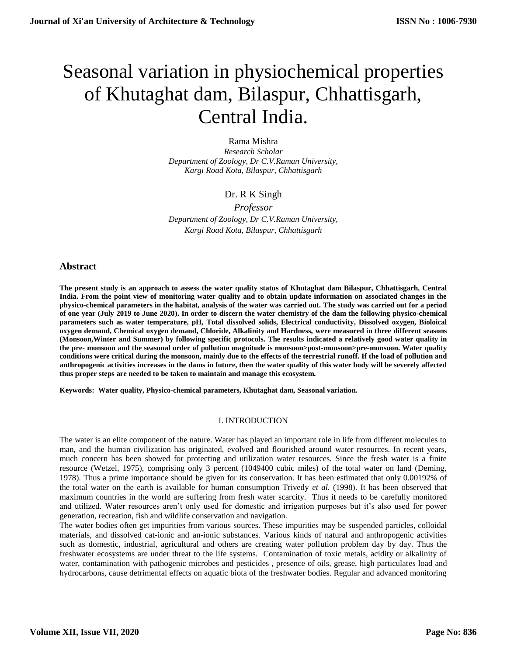# Seasonal variation in physiochemical properties of Khutaghat dam, Bilaspur, Chhattisgarh, Central India.

Rama Mishra *Research Scholar Department of Zoology, Dr C.V.Raman University, Kargi Road Kota, Bilaspur, Chhattisgarh*

# Dr. R K Singh

*Professor Department of Zoology, Dr C.V.Raman University, Kargi Road Kota, Bilaspur, Chhattisgarh*

## **Abstract**

**The present study is an approach to assess the water quality status of Khutaghat dam Bilaspur, Chhattisgarh, Central India. From the point view of monitoring water quality and to obtain update information on associated changes in the physico-chemical parameters in the habitat, analysis of the water was carried out. The study was carried out for a period of one year (July 2019 to June 2020). In order to discern the water chemistry of the dam the following physico-chemical parameters such as water temperature, pH, Total dissolved solids, Electrical conductivity, Dissolved oxygen, Bioloical oxygen demand, Chemical oxygen demand, Chloride, Alkalinity and Hardness, were measured in three different seasons (Monsoon,Winter and Summer) by following specific protocols. The results indicated a relatively good water quality in the pre- monsoon and the seasonal order of pollution magnitude is monsoon>post-monsoon>pre-monsoon. Water quality conditions were critical during the monsoon, mainly due to the effects of the terrestrial runoff. If the load of pollution and anthropogenic activities increases in the dams in future, then the water quality of this water body will be severely affected thus proper steps are needed to be taken to maintain and manage this ecosystem.**

**Keywords: Water quality, Physico-chemical parameters, Khutaghat dam, Seasonal variation.**

## I. INTRODUCTION

The water is an elite component of the nature. Water has played an important role in life from different molecules to man, and the human civilization has originated, evolved and flourished around water resources. In recent years, much concern has been showed for protecting and utilization water resources. Since the fresh water is a finite resource (Wetzel, 1975), comprising only 3 percent (1049400 cubic miles) of the total water on land (Deming, 1978). Thus a prime importance should be given for its conservation. It has been estimated that only 0.00192% of the total water on the earth is available for human consumption Trivedy *et al.* (1998). It has been observed that maximum countries in the world are suffering from fresh water scarcity. Thus it needs to be carefully monitored and utilized. Water resources aren't only used for domestic and irrigation purposes but it's also used for power generation, recreation, fish and wildlife conservation and navigation.

The water bodies often get impurities from various sources. These impurities may be suspended particles, colloidal materials, and dissolved cat-ionic and an-ionic substances. Various kinds of natural and anthropogenic activities such as domestic, industrial, agricultural and others are creating water pollution problem day by day. Thus the freshwater ecosystems are under threat to the life systems. Contamination of toxic metals, acidity or alkalinity of water, contamination with pathogenic microbes and pesticides , presence of oils, grease, high particulates load and hydrocarbons, cause detrimental effects on aquatic biota of the freshwater bodies. Regular and advanced monitoring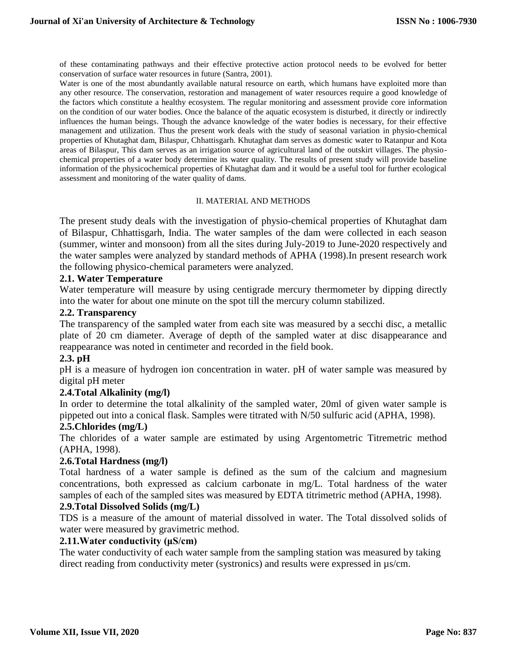of these contaminating pathways and their effective protective action protocol needs to be evolved for better conservation of surface water resources in future (Santra, 2001).

Water is one of the most abundantly available natural resource on earth, which humans have exploited more than any other resource. The conservation, restoration and management of water resources require a good knowledge of the factors which constitute a healthy ecosystem. The regular monitoring and assessment provide core information on the condition of our water bodies. Once the balance of the aquatic ecosystem is disturbed, it directly or indirectly influences the human beings. Though the advance knowledge of the water bodies is necessary, for their effective management and utilization. Thus the present work deals with the study of seasonal variation in physio-chemical properties of Khutaghat dam, Bilaspur, Chhattisgarh. Khutaghat dam serves as domestic water to Ratanpur and Kota areas of Bilaspur, This dam serves as an irrigation source of agricultural land of the outskirt villages. The physiochemical properties of a water body determine its water quality. The results of present study will provide baseline information of the physicochemical properties of Khutaghat dam and it would be a useful tool for further ecological assessment and monitoring of the water quality of dams.

## II. MATERIAL AND METHODS

The present study deals with the investigation of physio-chemical properties of Khutaghat dam of Bilaspur, Chhattisgarh, India. The water samples of the dam were collected in each season (summer, winter and monsoon) from all the sites during July-2019 to June-2020 respectively and the water samples were analyzed by standard methods of APHA (1998).In present research work the following physico-chemical parameters were analyzed.

## **2.1. Water Temperature**

Water temperature will measure by using centigrade mercury thermometer by dipping directly into the water for about one minute on the spot till the mercury column stabilized.

## **2.2. Transparency**

The transparency of the sampled water from each site was measured by a secchi disc, a metallic plate of 20 cm diameter. Average of depth of the sampled water at disc disappearance and reappearance was noted in centimeter and recorded in the field book.

## **2.3. pH**

pH is a measure of hydrogen ion concentration in water. pH of water sample was measured by digital pH meter

# **2.4.Total Alkalinity (mg/l)**

In order to determine the total alkalinity of the sampled water, 20ml of given water sample is pippeted out into a conical flask. Samples were titrated with N/50 sulfuric acid (APHA, 1998).

## **2.5.Chlorides (mg/L)**

The chlorides of a water sample are estimated by using Argentometric Titremetric method (APHA, 1998).

## **2.6.Total Hardness (mg/l)**

Total hardness of a water sample is defined as the sum of the calcium and magnesium concentrations, both expressed as calcium carbonate in mg/L. Total hardness of the water samples of each of the sampled sites was measured by EDTA titrimetric method (APHA, 1998).

## **2.9.Total Dissolved Solids (mg/L)**

TDS is a measure of the amount of material dissolved in water. The Total dissolved solids of water were measured by gravimetric method.

## **2.11.Water conductivity (μS/cm)**

The water conductivity of each water sample from the sampling station was measured by taking direct reading from conductivity meter (systronics) and results were expressed in µs/cm.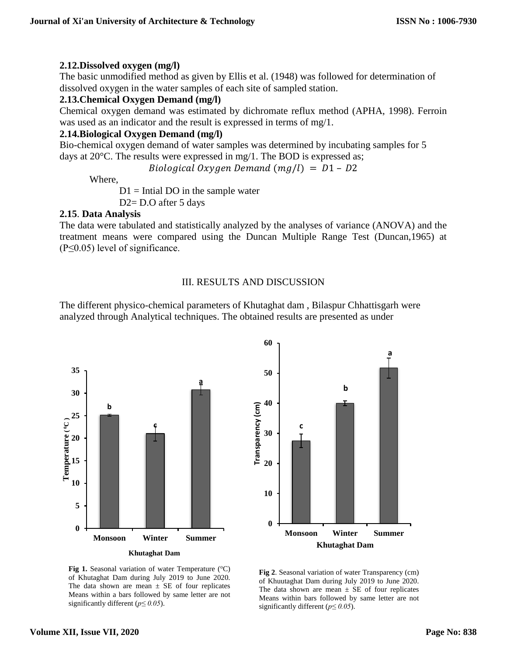## **2.12.Dissolved oxygen (mg/l)**

The basic unmodified method as given by Ellis et al. (1948) was followed for determination of dissolved oxygen in the water samples of each site of sampled station.

# **2.13.Chemical Oxygen Demand (mg/l)**

Chemical oxygen demand was estimated by dichromate reflux method (APHA, 1998). Ferroin was used as an indicator and the result is expressed in terms of mg/1.

# **2.14.Biological Oxygen Demand (mg/l)**

Bio-chemical oxygen demand of water samples was determined by incubating samples for 5 days at 20°C. The results were expressed in mg/1. The BOD is expressed as;

Biological Oxygen Demand  $(mg/l) = D1 - D2$ 

Where,

 $D1$  = Intial DO in the sample water

D2= D.O after 5 days

## **2.15**. **Data Analysis**

The data were tabulated and statistically analyzed by the analyses of variance (ANOVA) and the treatment means were compared using the Duncan Multiple Range Test (Duncan,1965) at  $(P \leq 0.05)$  level of significance.

# III. RESULTS AND DISCUSSION

The different physico-chemical parameters of Khutaghat dam , Bilaspur Chhattisgarh were analyzed through Analytical techniques. The obtained results are presented as under





**Fig 1.** Seasonal variation of water Temperature  $({}^{\circ}C)$ of Khutaghat Dam during July 2019 to June 2020. The data shown are mean  $\pm$  SE of four replicates Means within a bars followed by same letter are not significantly different (*p≤ 0.05*).

**Fig 2**. Seasonal variation of water Transparency (cm) of Khuutaghat Dam during July 2019 to June 2020. The data shown are mean  $\pm$  SE of four replicates Means within bars followed by same letter are not significantly different (*p≤ 0.05*).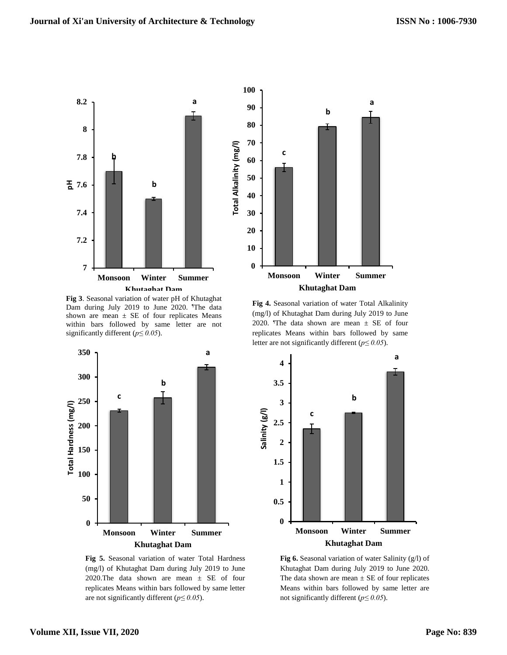

 **Fig 3**. Seasonal variation of water pH of Khutaghat Dam during July 2019 to June 2020. The data shown are mean  $\pm$  SE of four replicates Means within bars followed by same letter are not significantly different (*p≤ 0.05*).



 **Fig 5.** Seasonal variation of water Total Hardness (mg/l) of Khutaghat Dam during July 2019 to June 2020.The data shown are mean  $\pm$  SE of four replicates Means within bars followed by same letter are not significantly different (*p≤ 0.05*).



**4.5** letter are not significantly different (*p≤ 0.05*). **Fig 4.** Seasonal variation of water Total Alkalinity (mg/l) of Khutaghat Dam during July 2019 to June 2020. The data shown are mean  $\pm$  SE of four replicates Means within bars followed by same



**Fig 6.** Seasonal variation of water Salinity (g/l) of Khutaghat Dam during July 2019 to June 2020. The data shown are mean  $\pm$  SE of four replicates Means within bars followed by same letter are not significantly different (*p≤ 0.05*).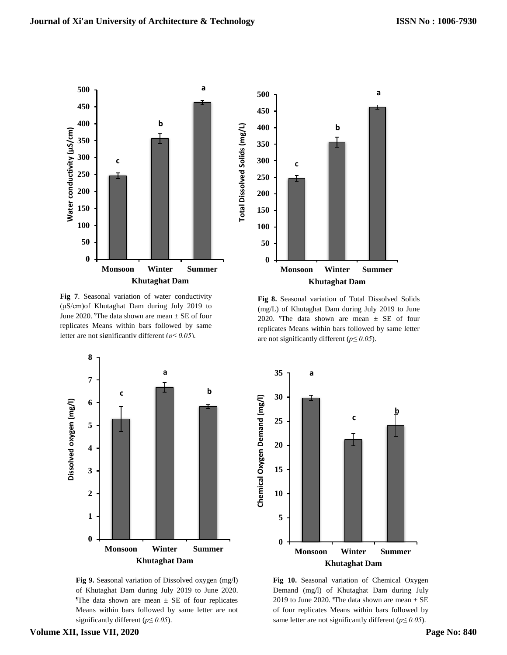



**Fig 7**. Seasonal variation of water conductivity (μS/cm)of Khutaghat Dam during July 2019 to June 2020. The data shown are mean  $\pm$  SE of four replicates Means within bars followed by same letter are not significantly different (*p≤ 0.05*).



 **Fig 9.** Seasonal variation of Dissolved oxygen (mg/l) of Khutaghat Dam during July 2019 to June 2020. The data shown are mean  $\pm$  SE of four replicates Means within bars followed by same letter are not significantly different (*p≤ 0.05*).

**Fig 8.** Seasonal variation of Total Dissolved Solids (mg/L) of Khutaghat Dam during July 2019 to June 2020. The data shown are mean  $\pm$  SE of four replicates Means within bars followed by same letter are not significantly different (*p≤ 0.05*).



**Fig 10.** Seasonal variation of Chemical Oxygen Demand (mg/l) of Khutaghat Dam during July 2019 to June 2020. The data shown are mean  $\pm$  SE of four replicates Means within bars followed by same letter are not significantly different (*p≤ 0.05*).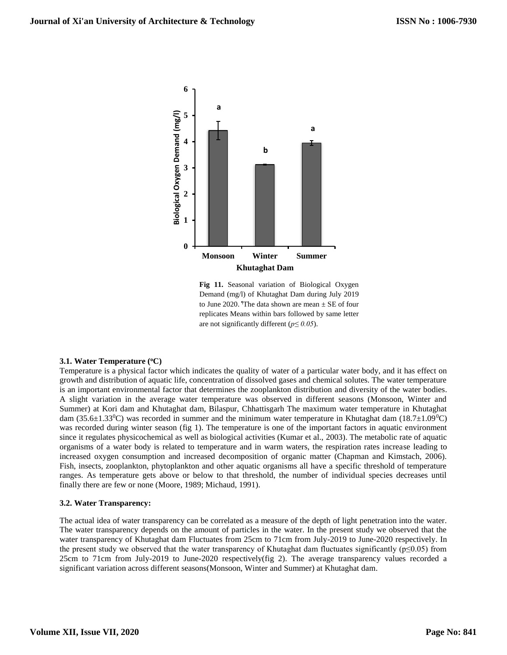

**Fig 11.** Seasonal variation of Biological Oxygen Demand (mg/l) of Khutaghat Dam during July 2019 to June 2020. The data shown are mean  $\pm$  SE of four replicates Means within bars followed by same letter are not significantly different (*p≤ 0.05*).

## **3.1. Water Temperature (<sup>o</sup>C)**

Temperature is a physical factor which indicates the quality of water of a particular water body, and it has effect on growth and distribution of aquatic life, concentration of dissolved gases and chemical solutes. The water temperature is an important environmental factor that determines the zooplankton distribution and diversity of the water bodies. A slight variation in the average water temperature was observed in different seasons (Monsoon, Winter and Summer) at Kori dam and Khutaghat dam, Bilaspur, Chhattisgarh The maximum water temperature in Khutaghat dam (35.6 $\pm$ 1.33<sup>o</sup>C) was recorded in summer and the minimum water temperature in Khutaghat dam (18.7 $\pm$ 1.09<sup>o</sup>C) was recorded during winter season (fig 1). The temperature is one of the important factors in aquatic environment since it regulates physicochemical as well as biological activities (Kumar et al., 2003). The metabolic rate of aquatic organisms of a water body is related to temperature and in warm waters, the respiration rates increase leading to increased oxygen consumption and increased decomposition of organic matter (Chapman and Kimstach, 2006). Fish, insects, zooplankton, phytoplankton and other aquatic organisms all have a specific threshold of temperature ranges. As temperature gets above or below to that threshold, the number of individual species decreases until finally there are few or none (Moore, 1989; Michaud, 1991).

## **3.2. Water Transparency:**

The actual idea of water transparency can be correlated as a measure of the depth of light penetration into the water. The water transparency depends on the amount of particles in the water. In the present study we observed that the water transparency of Khutaghat dam Fluctuates from 25cm to 71cm from July-2019 to June-2020 respectively. In the present study we observed that the water transparency of Khutaghat dam fluctuates significantly ( $p \le 0.05$ ) from 25cm to 71cm from July-2019 to June-2020 respectively(fig 2). The average transparency values recorded a significant variation across different seasons(Monsoon, Winter and Summer) at Khutaghat dam.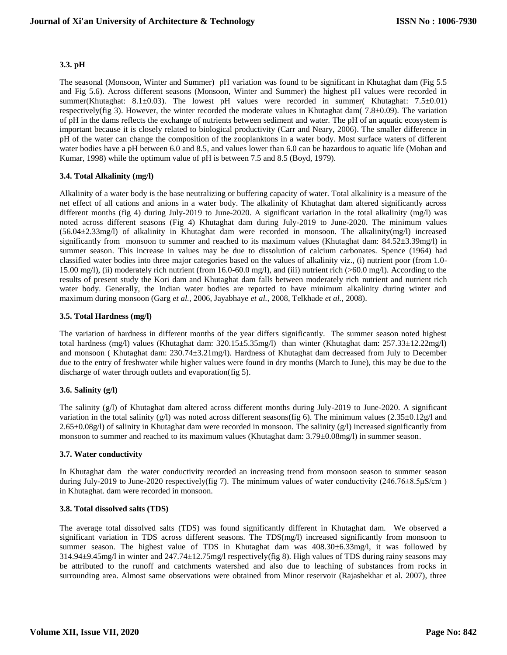#### **3.3. pH**

The seasonal (Monsoon, Winter and Summer) pH variation was found to be significant in Khutaghat dam (Fig 5.5 and Fig 5.6). Across different seasons (Monsoon, Winter and Summer) the highest pH values were recorded in summer(Khutaghat: 8.1 $\pm$ 0.03). The lowest pH values were recorded in summer( Khutaghat: 7.5 $\pm$ 0.01) respectively(fig 3). However, the winter recorded the moderate values in Khutaghat dam( 7.8±0.09). The variation of pH in the dams reflects the exchange of nutrients between sediment and water. The pH of an aquatic ecosystem is important because it is closely related to biological productivity (Carr and Neary, 2006). The smaller difference in pH of the water can change the composition of the zooplanktons in a water body. Most surface waters of different water bodies have a pH between 6.0 and 8.5, and values lower than 6.0 can be hazardous to aquatic life (Mohan and Kumar, 1998) while the optimum value of pH is between 7.5 and 8.5 (Boyd, 1979).

## **3.4. Total Alkalinity (mg/l)**

Alkalinity of a water body is the base neutralizing or buffering capacity of water. Total alkalinity is a measure of the net effect of all cations and anions in a water body. The alkalinity of Khutaghat dam altered significantly across different months (fig 4) during July-2019 to June-2020. A significant variation in the total alkalinity (mg/l) was noted across different seasons (Fig 4) Khutaghat dam during July-2019 to June-2020. The minimum values (56.04±2.33mg/l) of alkalinity in Khutaghat dam were recorded in monsoon. The alkalinity(mg/l) increased significantly from monsoon to summer and reached to its maximum values (Khutaghat dam: 84.52±3.39mg/l) in summer season. This increase in values may be due to dissolution of calcium carbonates. Spence (1964) had classified water bodies into three major categories based on the values of alkalinity viz., (i) nutrient poor (from 1.0- 15.00 mg/l), (ii) moderately rich nutrient (from 16.0-60.0 mg/l), and (iii) nutrient rich (>60.0 mg/l). According to the results of present study the Kori dam and Khutaghat dam falls between moderately rich nutrient and nutrient rich water body. Generally, the Indian water bodies are reported to have minimum alkalinity during winter and maximum during monsoon (Garg *et al.,* 2006, Jayabhaye *et al.,* 2008, Telkhade *et al.,* 2008).

## **3.5. Total Hardness (mg/l)**

The variation of hardness in different months of the year differs significantly. The summer season noted highest total hardness (mg/l) values (Khutaghat dam: 320.15±5.35mg/l) than winter (Khutaghat dam: 257.33±12.22mg/l) and monsoon ( Khutaghat dam: 230.74±3.21mg/l). Hardness of Khutaghat dam decreased from July to December due to the entry of freshwater while higher values were found in dry months (March to June), this may be due to the discharge of water through outlets and evaporation(fig 5).

## **3.6. Salinity (g/l)**

The salinity (g/l) of Khutaghat dam altered across different months during July-2019 to June-2020. A significant variation in the total salinity  $(g/l)$  was noted across different seasons(fig 6). The minimum values (2.35 $\pm$ 0.12g/l and 2.65±0.08g/l) of salinity in Khutaghat dam were recorded in monsoon. The salinity (g/l) increased significantly from monsoon to summer and reached to its maximum values (Khutaghat dam:  $3.79\pm0.08$ mg/l) in summer season.

## **3.7. Water conductivity**

In Khutaghat dam the water conductivity recorded an increasing trend from monsoon season to summer season during July-2019 to June-2020 respectively(fig 7). The minimum values of water conductivity (246.76±8.5µS/cm) in Khutaghat. dam were recorded in monsoon.

## **3.8. Total dissolved salts (TDS)**

The average total dissolved salts (TDS) was found significantly different in Khutaghat dam. We observed a significant variation in TDS across different seasons. The TDS(mg/l) increased significantly from monsoon to summer season. The highest value of TDS in Khutaghat dam was  $408.30 \pm 6.33$ mg/l, it was followed by 314.94±9.45mg/l in winter and 247.74±12.75mg/l respectively(fig 8). High values of TDS during rainy seasons may be attributed to the runoff and catchments watershed and also due to leaching of substances from rocks in surrounding area. Almost same observations were obtained from Minor reservoir (Rajashekhar et al. 2007), three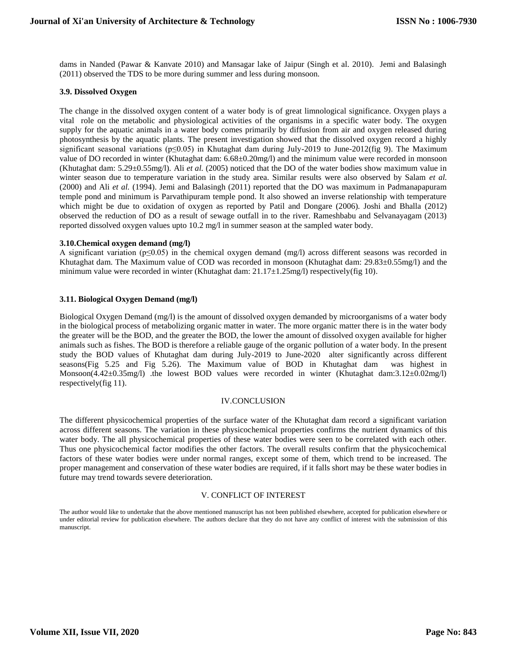dams in Nanded (Pawar & Kanvate 2010) and Mansagar lake of Jaipur (Singh et al. 2010). Jemi and Balasingh (2011) observed the TDS to be more during summer and less during monsoon.

#### **3.9. Dissolved Oxygen**

The change in the dissolved oxygen content of a water body is of great limnological significance. Oxygen plays a vital role on the metabolic and physiological activities of the organisms in a specific water body. The oxygen supply for the aquatic animals in a water body comes primarily by diffusion from air and oxygen released during photosynthesis by the aquatic plants. The present investigation showed that the dissolved oxygen record a highly significant seasonal variations (p≤0.05) in Khutaghat dam during July-2019 to June-2012(fig 9). The Maximum value of DO recorded in winter (Khutaghat dam: 6.68±0.20mg/l) and the minimum value were recorded in monsoon (Khutaghat dam: 5.29±0.55mg/l). Ali *et al.* (2005) noticed that the DO of the water bodies show maximum value in winter season due to temperature variation in the study area. Similar results were also observed by Salam *et al.*  (2000) and Ali *et al.* (1994). Jemi and Balasingh (2011) reported that the DO was maximum in Padmanapapuram temple pond and minimum is Parvathipuram temple pond. It also showed an inverse relationship with temperature which might be due to oxidation of oxygen as reported by Patil and Dongare (2006). Joshi and Bhalla (2012) observed the reduction of DO as a result of sewage outfall in to the river. Rameshbabu and Selvanayagam (2013) reported dissolved oxygen values upto 10.2 mg/l in summer season at the sampled water body.

#### **3.10.Chemical oxygen demand (mg/l)**

A significant variation (p≤0.05) in the chemical oxygen demand (mg/l) across different seasons was recorded in Khutaghat dam. The Maximum value of COD was recorded in monsoon (Khutaghat dam: 29.83±0.55mg/l) and the minimum value were recorded in winter (Khutaghat dam: 21.17±1.25mg/l) respectively(fig 10).

#### **3.11. Biological Oxygen Demand (mg/l)**

Biological Oxygen Demand (mg/l) is the amount of dissolved oxygen demanded by microorganisms of a water body in the biological process of metabolizing organic matter in water. The more organic matter there is in the water body the greater will be the BOD, and the greater the BOD, the lower the amount of dissolved oxygen available for higher animals such as fishes. The BOD is therefore a reliable gauge of the organic pollution of a water body. In the present study the BOD values of Khutaghat dam during July-2019 to June-2020 alter significantly across different seasons(Fig 5.25 and Fig 5.26). The Maximum value of BOD in Khutaghat dam was highest in Monsoon(4.42±0.35mg/l) .the lowest BOD values were recorded in winter (Khutaghat dam:3.12±0.02mg/l) respectively(fig 11).

#### IV.CONCLUSION

The different physicochemical properties of the surface water of the Khutaghat dam record a significant variation across different seasons. The variation in these physicochemical properties confirms the nutrient dynamics of this water body. The all physicochemical properties of these water bodies were seen to be correlated with each other. Thus one physicochemical factor modifies the other factors. The overall results confirm that the physicochemical factors of these water bodies were under normal ranges, except some of them, which trend to be increased. The proper management and conservation of these water bodies are required, if it falls short may be these water bodies in future may trend towards severe deterioration.

#### V. CONFLICT OF INTEREST

The author would like to undertake that the above mentioned manuscript has not been published elsewhere, accepted for publication elsewhere or under editorial review for publication elsewhere. The authors declare that they do not have any conflict of interest with the submission of this manuscript.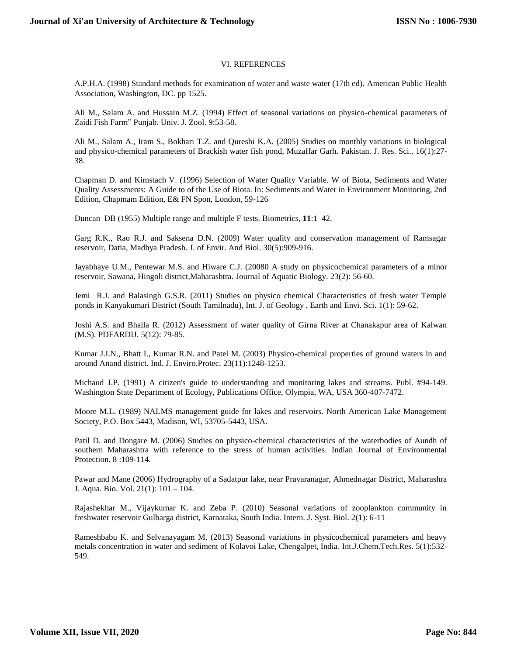#### VI. REFERENCES

A.P.H.A. (1998) Standard methods for examination of water and waste water (17th ed). American Public Health Association, Washington, DC. pp 1525.

Ali M., Salam A. and Hussain M.Z. (1994) Effect of seasonal variations on physico-chemical parameters of Zaidi Fish Farm" Punjab. Univ. J. Zool. 9:53-58.

Ali M., Salam A., Iram S., Bokhari T.Z. and Qureshi K.A. (2005) Studies on monthly variations in biological and physico-chemical parameters of Brackish water fish pond, Muzaffar Garh. Pakistan. J. Res. Sci., 16(1):27- 38.

Chapman D. and Kimstach V. (1996) Selection of Water Quality Variable. W of Biota, Sediments and Water Quality Assessments: A Guide to of the Use of Biota. In: Sediments and Water in Environment Monitoring, 2nd Edition, Chapmam Edition, E& FN Spon, London, 59-126

Duncan DB (1955) Multiple range and multiple F tests. Biometrics, **11**:1–42.

Garg R.K., Rao R.J. and Saksena D.N. (2009) Water quality and conservation management of Ramsagar reservoir, Datia, Madhya Pradesh. J. of Envir. And Biol. 30(5):909-916.

Jayabhaye U.M., Pentewar M.S. and Hiware C.J. (20080 A study on physicochemical parameters of a minor reservoir, Sawana, Hingoli district,Maharashtra. Journal of Aquatic Biology. 23(2): 56-60.

Jemi R.J. and Balasingh G.S.R. (2011) Studies on physico chemical Characteristics of fresh water Temple ponds in Kanyakumari District (South Tamilnadu), Int. J. of Geology , Earth and Envi. Sci. 1(1): 59-62.

Joshi A.S. and Bhalla R. (2012) Assessment of water quality of Girna River at Chanakapur area of Kalwan (M.S). PDFARDIJ. 5(12): 79-85.

Kumar J.I.N., Bhatt I., Kumar R.N. and Patel M. (2003) Physico-chemical properties of ground waters in and around Anand district. Ind. J. Enviro.Protec. 23(11):1248-1253.

Michaud J.P. (1991) A citizen's guide to understanding and monitoring lakes and streams. Publ. #94-149. Washington State Department of Ecology, Publications Office, Olympia, WA, USA 360-407-7472.

Moore M.L. (1989) NALMS management guide for lakes and reservoirs. North American Lake Management Society, P.O. Box 5443, Madison, WI, 53705-5443, USA.

Patil D. and Dongare M. (2006) Studies on physico-chemical characteristics of the waterbodies of Aundh of southern Maharashtra with reference to the stress of human activities. Indian Journal of Environmental Protection. 8 :109-114.

Pawar and Mane (2006) Hydrography of a Sadatpur lake, near Pravaranagar, Ahmednagar District, Maharashra J. Aqua. Bio. Vol. 21(1): 101 – 104.

Rajashekhar M., Vijaykumar K. and Zeba P. (2010) Seasonal variations of zooplankton community in freshwater reservoir Gulbarga district, Karnataka, South India. Intern. J. Syst. Biol. 2(1): 6-11

Rameshbabu K. and Selvanayagam M. (2013) Seasonal variations in physicochemical parameters and heavy metals concentration in water and sediment of Kolavoi Lake, Chengalpet, India. Int.J.Chem.Tech.Res. 5(1):532- 549.